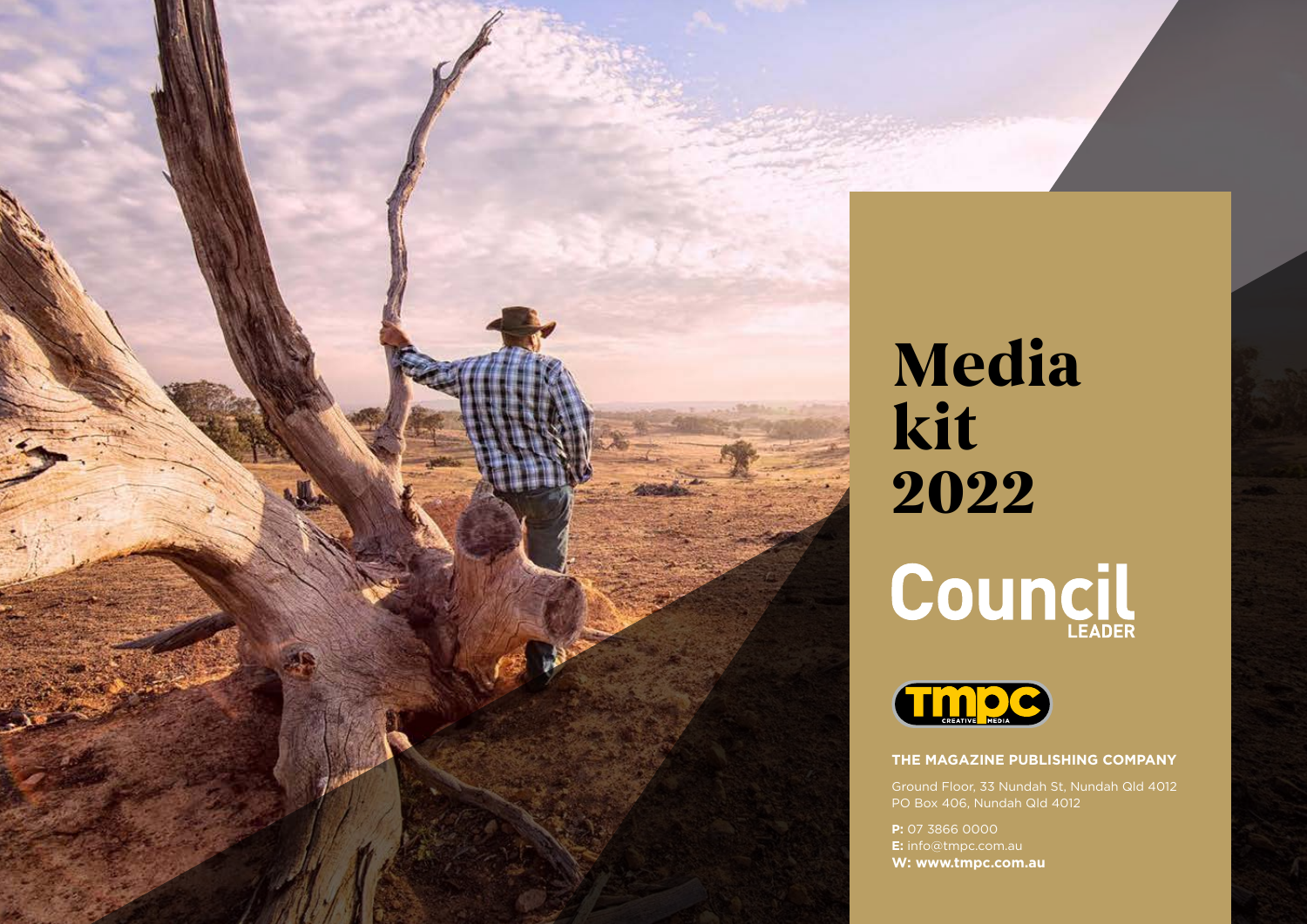

# **Media kit 2022** Council



## **The Magazine Publishing Company**

PO Box 406, Nundah Qld 4012

**P:** 07 3866 0000 **E:** info@tmpc.com.au **W: www.tmpc.com.au**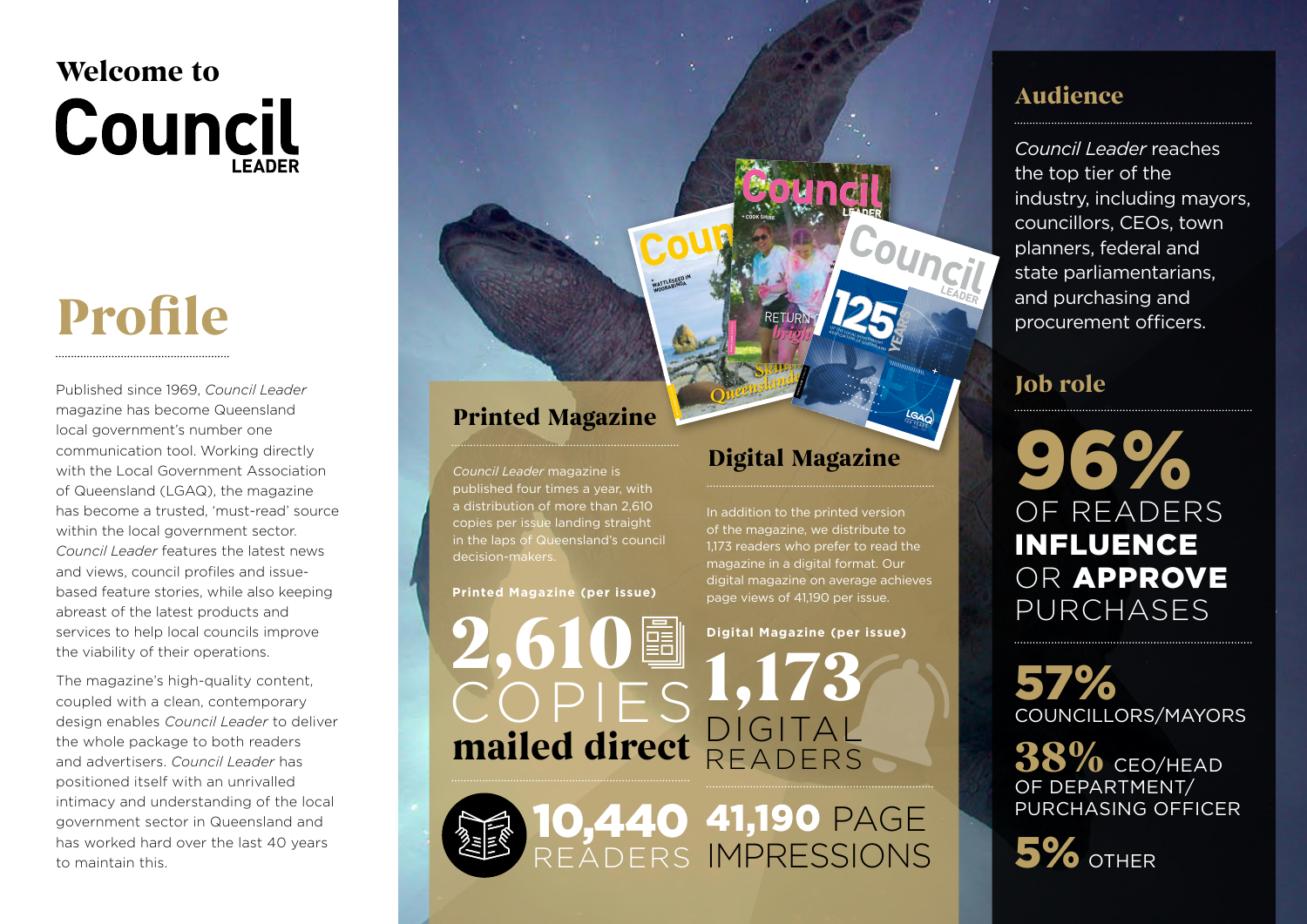# **Welcome to Council**

# **Profile**

Published since 1969, *Council Leader* magazine has become Queensland local government's number one communication tool. Working directly with the Local Government Association of Queensland (LGAQ), the magazine has become a trusted, 'must-read' source within the local government sector. *Council Leader* features the latest news and views, council profiles and issuebased feature stories, while also keeping abreast of the latest products and services to help local councils improve the viability of their operations.

The magazine's high-quality content, coupled with a clean, contemporary design enables *Council Leader* to deliver the whole package to both readers and advertisers. *Council Leader* has positioned itself with an unrivalled intimacy and understanding of the local government sector in Queensland and has worked hard over the last 40 years to maintain this.

# **Printed Magazine**

**COUNCIL LEADER** AUTUMN 2021 AUTUMN 2020

**+**WATTLESEED IN WATTLABINDA

*Council Leader* magazine is published four times a year, with a distribution of more than 2,610 copies per issue landing straight in the laps of Queensland's council decision-makers.

**Printed Magazine (per issue)**

**2,610** COPIES mailed direct **DIG** 

10,440

READERS

# **Digital Magazine**

 $\theta$ 

RETURN OF EVERY bright September Covered

**+ COUNCIL spOtLIght: MURWEh**

**+ COOk shIRE**

**+AN INNOvAtIvE w**<sub>as</sub> **IN WOWANT** 

**SSOCIATION OF QUEENERT association of QueensLand**  **YEARS**

**125 YEARS**

 $\frac{2}{\pi}$ **Skilling Leaders Automnalism** 

In addition to the printed version of the magazine, we distribute to 1,173 readers who prefer to read the magazine in a digital format. Our digital magazine on average achieves page views of 41,190 per issue.

**Digital Magazine (per issue)**

41,190 PAGE

IMPRESSIONS

**1,173**

**Audience**

*Council Leader* reaches the top tier of the industry, including mayors, councillors, CEOs, town planners, federal and state parliamentarians, and purchasing and procurement officers.

# **Job role**

96 of readers influence OR APPROVE purchases

57% Councillors/Mayors

**38%** CEO/HEAD of Department/ Purchasing Officer

5% OTHER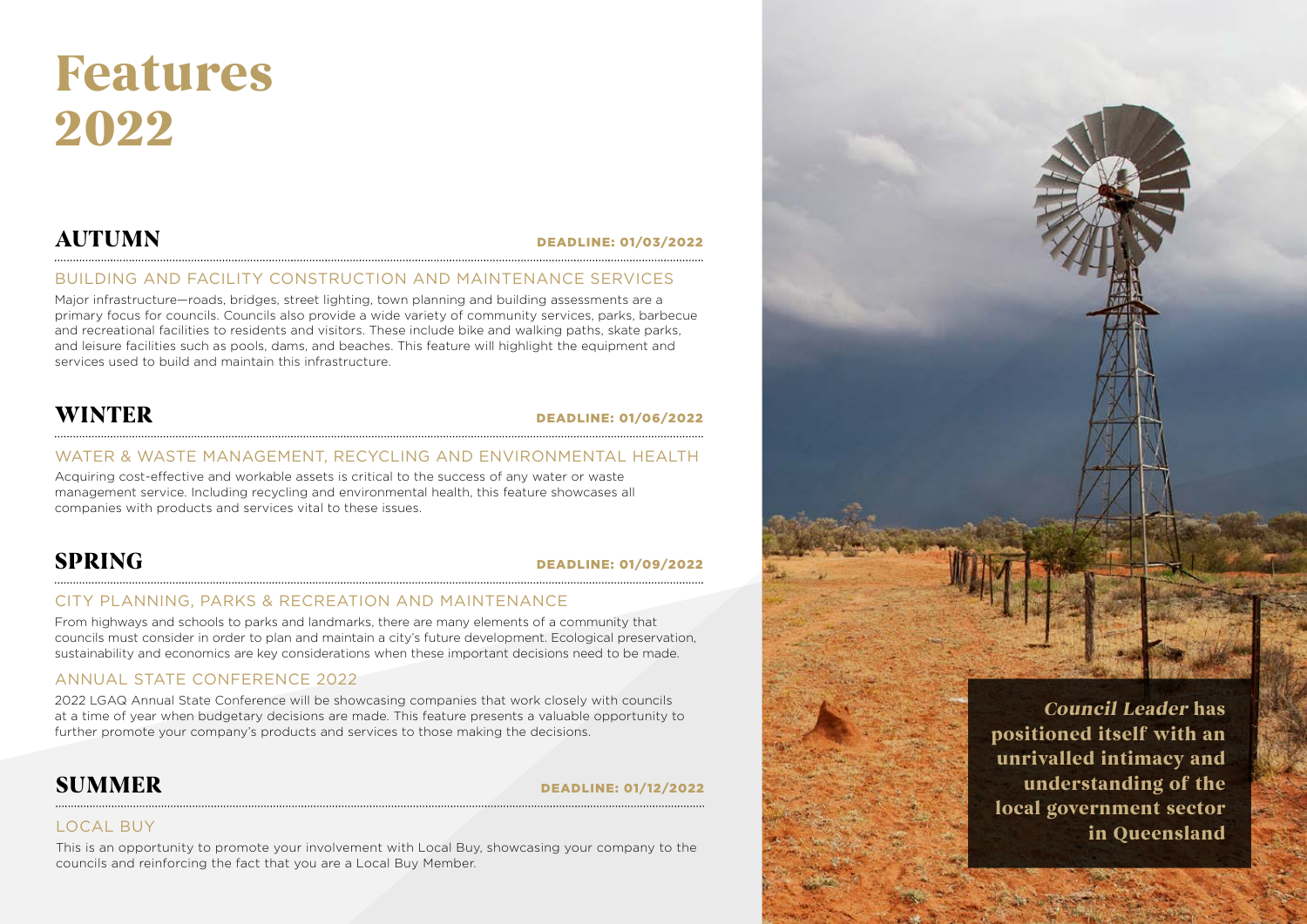# **Features 2022**

# **autumn** DEADLINE: 01/03/2022

## BUILDING AND FACILITY CONSTRUCTION AND MAINTENANCE SERVICES

Major infrastructure—roads, bridges, street lighting, town planning and building assessments are a primary focus for councils. Councils also provide a wide variety of community services, parks, barbecue and recreational facilities to residents and visitors. These include bike and walking paths, skate parks, and leisure facilities such as pools, dams, and beaches. This feature will highlight the equipment and services used to build and maintain this infrastructure.

# **winter** DEADLINE: 01/06/2022

## WATER & WASTE MANAGEMENT, RECYCLING AND ENVIRONMENTAL HEALTH

Acquiring cost-effective and workable assets is critical to the success of any water or waste management service. Including recycling and environmental health, this feature showcases all companies with products and services vital to these issues.

# **spring** DEADLINE: 01/09/2022

### CITY PLANNING, PARKS & RECREATION AND MAINTENANCE

From highways and schools to parks and landmarks, there are many elements of a community that councils must consider in order to plan and maintain a city's future development. Ecological preservation, sustainability and economics are key considerations when these important decisions need to be made.

## ANNUAL STATE CONFERENCE 2022

2022 LGAQ Annual State Conference will be showcasing companies that work closely with councils at a time of year when budgetary decisions are made. This feature presents a valuable opportunity to further promote your company's products and services to those making the decisions.

## **SUMMER** DEADLINE: 01/12/2022

## LOCAL BUY

This is an opportunity to promote your involvement with Local Buy, showcasing your company to the councils and reinforcing the fact that you are a Local Buy Member.